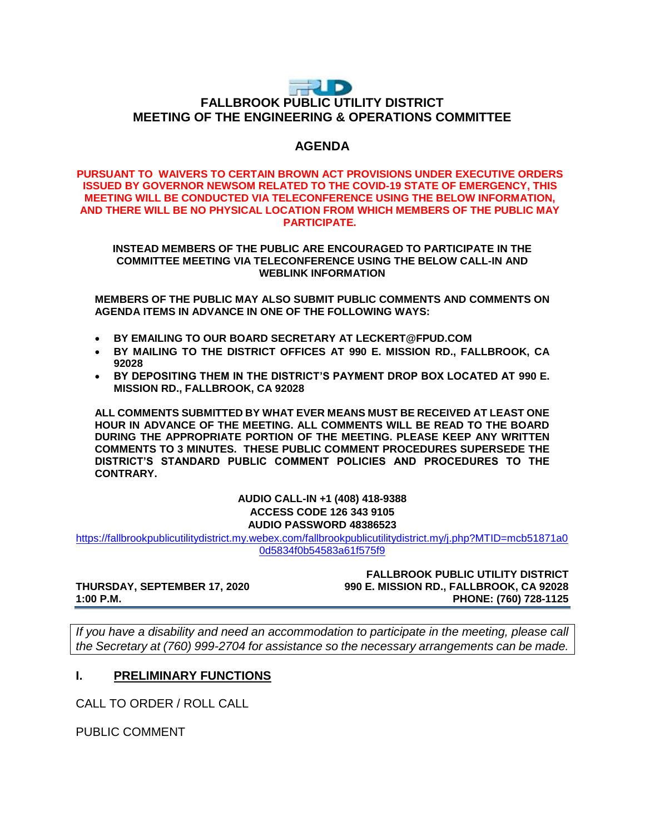# **THUD FALLBROOK PUBLIC UTILITY DISTRICT MEETING OF THE ENGINEERING & OPERATIONS COMMITTEE**

## **AGENDA**

#### **PURSUANT TO WAIVERS TO CERTAIN BROWN ACT PROVISIONS UNDER EXECUTIVE ORDERS ISSUED BY GOVERNOR NEWSOM RELATED TO THE COVID-19 STATE OF EMERGENCY, THIS MEETING WILL BE CONDUCTED VIA TELECONFERENCE USING THE BELOW INFORMATION, AND THERE WILL BE NO PHYSICAL LOCATION FROM WHICH MEMBERS OF THE PUBLIC MAY PARTICIPATE.**

**INSTEAD MEMBERS OF THE PUBLIC ARE ENCOURAGED TO PARTICIPATE IN THE COMMITTEE MEETING VIA TELECONFERENCE USING THE BELOW CALL-IN AND WEBLINK INFORMATION**

**MEMBERS OF THE PUBLIC MAY ALSO SUBMIT PUBLIC COMMENTS AND COMMENTS ON AGENDA ITEMS IN ADVANCE IN ONE OF THE FOLLOWING WAYS:**

- **BY EMAILING TO OUR BOARD SECRETARY AT LECKERT@FPUD.COM**
- **BY MAILING TO THE DISTRICT OFFICES AT 990 E. MISSION RD., FALLBROOK, CA 92028**
- **BY DEPOSITING THEM IN THE DISTRICT'S PAYMENT DROP BOX LOCATED AT 990 E. MISSION RD., FALLBROOK, CA 92028**

**ALL COMMENTS SUBMITTED BY WHAT EVER MEANS MUST BE RECEIVED AT LEAST ONE HOUR IN ADVANCE OF THE MEETING. ALL COMMENTS WILL BE READ TO THE BOARD DURING THE APPROPRIATE PORTION OF THE MEETING. PLEASE KEEP ANY WRITTEN COMMENTS TO 3 MINUTES. THESE PUBLIC COMMENT PROCEDURES SUPERSEDE THE DISTRICT'S STANDARD PUBLIC COMMENT POLICIES AND PROCEDURES TO THE CONTRARY.**

> **AUDIO CALL-IN +1 (408) 418-9388 ACCESS CODE 126 343 9105 AUDIO PASSWORD 48386523**

[https://fallbrookpublicutilitydistrict.my.webex.com/fallbrookpublicutilitydistrict.my/j.php?MTID=mcb51871a0](https://fallbrookpublicutilitydistrict.my.webex.com/fallbrookpublicutilitydistrict.my/j.php?MTID=mcb51871a00d5834f0b54583a61f575f9) [0d5834f0b54583a61f575f9](https://fallbrookpublicutilitydistrict.my.webex.com/fallbrookpublicutilitydistrict.my/j.php?MTID=mcb51871a00d5834f0b54583a61f575f9)

**FALLBROOK PUBLIC UTILITY DISTRICT THURSDAY, SEPTEMBER 17, 2020 990 E. MISSION RD., FALLBROOK, CA 92028 1:00 P.M. PHONE: (760) 728-1125**

*If you have a disability and need an accommodation to participate in the meeting, please call the Secretary at (760) 999-2704 for assistance so the necessary arrangements can be made.* 

## **I. PRELIMINARY FUNCTIONS**

CALL TO ORDER / ROLL CALL

PUBLIC COMMENT